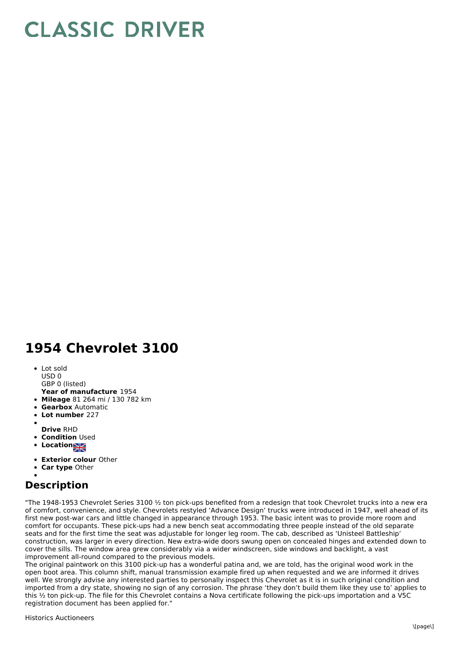## **CLASSIC DRIVER**

## **1954 Chevrolet 3100**

- Lot sold USD 0
- GBP 0 (listed)
- **Year of manufacture** 1954
- **Mileage** 81 264 mi / 130 782 km
- **Gearbox** Automatic
- **Lot number** 227
- 
- **Drive** RHD
- **Condition Used**
- **Locations**
- **Exterior colour** Other
- **Car type** Other

## **Description**

"The 1948-1953 Chevrolet Series 3100  $\frac{1}{2}$  ton pick-ups benefited from a redesign that took Chevrolet trucks into a new era of comfort, convenience, and style. Chevrolets restyled 'Advance Design' trucks were introduced in 1947, well ahead of its first new post-war cars and little changed in appearance through 1953. The basic intent was to provide more room and comfort for occupants. These pick-ups had a new bench seat accommodating three people instead of the old separate seats and for the first time the seat was adjustable for longer leg room. The cab, described as 'Unisteel Battleship' construction, was larger in every direction. New extra-wide doors swung open on concealed hinges and extended down to cover the sills. The window area grew considerably via a wider windscreen, side windows and backlight, a vast improvement all-round compared to the previous models.

The original paintwork on this 3100 pick-up has a wonderful patina and, we are told, has the original wood work in the open boot area. This column shift, manual transmission example fired up when requested and we are informed it drives well. We strongly advise any interested parties to personally inspect this Chevrolet as it is in such original condition and imported from a dry state, showing no sign of any corrosion. The phrase 'they don't build them like they use to' applies to this ½ ton pick-up. The file for this Chevrolet contains a Nova certificate following the pick-ups importation and a V5C registration document has been applied for."